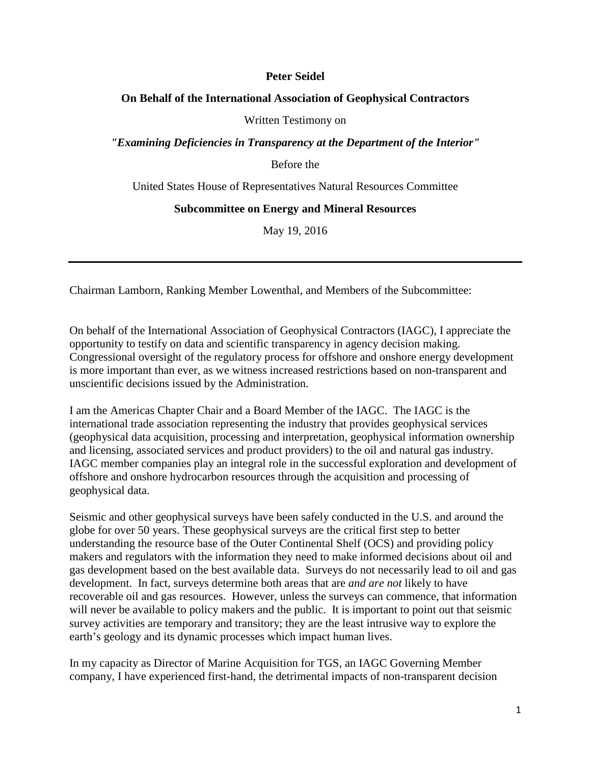#### **Peter Seidel**

#### **On Behalf of the International Association of Geophysical Contractors**

Written Testimony on

*"Examining Deficiencies in Transparency at the Department of the Interior"*

Before the

United States House of Representatives Natural Resources Committee

#### **Subcommittee on Energy and Mineral Resources**

May 19, 2016

Chairman Lamborn, Ranking Member Lowenthal, and Members of the Subcommittee:

On behalf of the International Association of Geophysical Contractors (IAGC), I appreciate the opportunity to testify on data and scientific transparency in agency decision making. Congressional oversight of the regulatory process for offshore and onshore energy development is more important than ever, as we witness increased restrictions based on non-transparent and unscientific decisions issued by the Administration.

I am the Americas Chapter Chair and a Board Member of the IAGC. The IAGC is the international trade association representing the industry that provides geophysical services (geophysical data acquisition, processing and interpretation, geophysical information ownership and licensing, associated services and product providers) to the oil and natural gas industry. IAGC member companies play an integral role in the successful exploration and development of offshore and onshore hydrocarbon resources through the acquisition and processing of geophysical data.

Seismic and other geophysical surveys have been safely conducted in the U.S. and around the globe for over 50 years. These geophysical surveys are the critical first step to better understanding the resource base of the Outer Continental Shelf (OCS) and providing policy makers and regulators with the information they need to make informed decisions about oil and gas development based on the best available data. Surveys do not necessarily lead to oil and gas development. In fact, surveys determine both areas that are *and are not* likely to have recoverable oil and gas resources. However, unless the surveys can commence, that information will never be available to policy makers and the public. It is important to point out that seismic survey activities are temporary and transitory; they are the least intrusive way to explore the earth's geology and its dynamic processes which impact human lives.

In my capacity as Director of Marine Acquisition for TGS, an IAGC Governing Member company, I have experienced first-hand, the detrimental impacts of non-transparent decision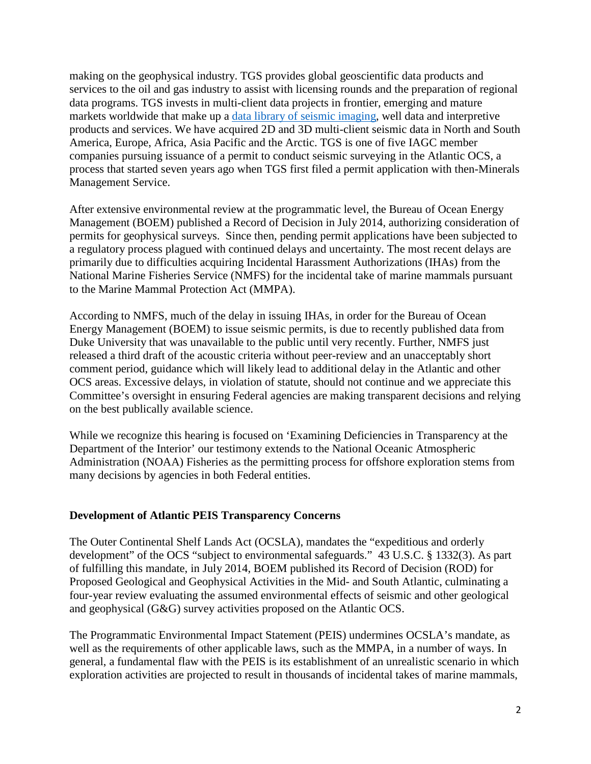making on the geophysical industry. TGS provides global geoscientific data products and services to the oil and gas industry to assist with licensing rounds and the preparation of regional data programs. TGS invests in multi-client data projects in frontier, emerging and mature markets worldwide that make up a [data library of seismic imaging,](http://www.tgs.com/data-library/) well data and interpretive products and services. We have acquired 2D and 3D multi-client seismic data in North and South America, Europe, Africa, Asia Pacific and the Arctic. TGS is one of five IAGC member companies pursuing issuance of a permit to conduct seismic surveying in the Atlantic OCS, a process that started seven years ago when TGS first filed a permit application with then-Minerals Management Service.

After extensive environmental review at the programmatic level, the Bureau of Ocean Energy Management (BOEM) published a Record of Decision in July 2014, authorizing consideration of permits for geophysical surveys. Since then, pending permit applications have been subjected to a regulatory process plagued with continued delays and uncertainty. The most recent delays are primarily due to difficulties acquiring Incidental Harassment Authorizations (IHAs) from the National Marine Fisheries Service (NMFS) for the incidental take of marine mammals pursuant to the Marine Mammal Protection Act (MMPA).

According to NMFS, much of the delay in issuing IHAs, in order for the Bureau of Ocean Energy Management (BOEM) to issue seismic permits, is due to recently published data from Duke University that was unavailable to the public until very recently. Further, NMFS just released a third draft of the acoustic criteria without peer-review and an unacceptably short comment period, guidance which will likely lead to additional delay in the Atlantic and other OCS areas. Excessive delays, in violation of statute, should not continue and we appreciate this Committee's oversight in ensuring Federal agencies are making transparent decisions and relying on the best publically available science.

While we recognize this hearing is focused on 'Examining Deficiencies in Transparency at the Department of the Interior' our testimony extends to the National Oceanic Atmospheric Administration (NOAA) Fisheries as the permitting process for offshore exploration stems from many decisions by agencies in both Federal entities.

# **Development of Atlantic PEIS Transparency Concerns**

The Outer Continental Shelf Lands Act (OCSLA), mandates the "expeditious and orderly development" of the OCS "subject to environmental safeguards." 43 U.S.C. § 1332(3). As part of fulfilling this mandate, in July 2014, BOEM published its Record of Decision (ROD) for Proposed Geological and Geophysical Activities in the Mid- and South Atlantic, culminating a four-year review evaluating the assumed environmental effects of seismic and other geological and geophysical (G&G) survey activities proposed on the Atlantic OCS.

The Programmatic Environmental Impact Statement (PEIS) undermines OCSLA's mandate, as well as the requirements of other applicable laws, such as the MMPA, in a number of ways. In general, a fundamental flaw with the PEIS is its establishment of an unrealistic scenario in which exploration activities are projected to result in thousands of incidental takes of marine mammals,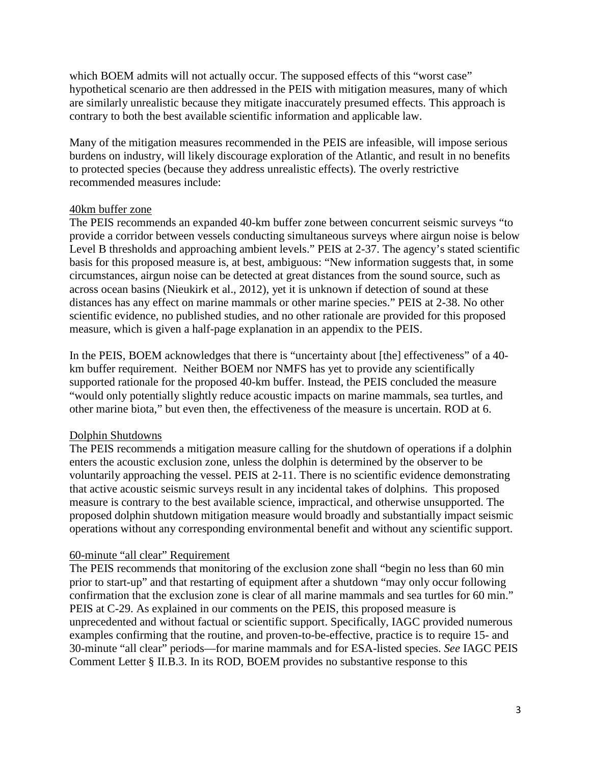which BOEM admits will not actually occur. The supposed effects of this "worst case" hypothetical scenario are then addressed in the PEIS with mitigation measures, many of which are similarly unrealistic because they mitigate inaccurately presumed effects. This approach is contrary to both the best available scientific information and applicable law.

Many of the mitigation measures recommended in the PEIS are infeasible, will impose serious burdens on industry, will likely discourage exploration of the Atlantic, and result in no benefits to protected species (because they address unrealistic effects). The overly restrictive recommended measures include:

#### 40km buffer zone

The PEIS recommends an expanded 40-km buffer zone between concurrent seismic surveys "to provide a corridor between vessels conducting simultaneous surveys where airgun noise is below Level B thresholds and approaching ambient levels." PEIS at 2-37. The agency's stated scientific basis for this proposed measure is, at best, ambiguous: "New information suggests that, in some circumstances, airgun noise can be detected at great distances from the sound source, such as across ocean basins (Nieukirk et al., 2012), yet it is unknown if detection of sound at these distances has any effect on marine mammals or other marine species." PEIS at 2-38. No other scientific evidence, no published studies, and no other rationale are provided for this proposed measure, which is given a half-page explanation in an appendix to the PEIS.

In the PEIS, BOEM acknowledges that there is "uncertainty about [the] effectiveness" of a 40km buffer requirement. Neither BOEM nor NMFS has yet to provide any scientifically supported rationale for the proposed 40-km buffer. Instead, the PEIS concluded the measure "would only potentially slightly reduce acoustic impacts on marine mammals, sea turtles, and other marine biota," but even then, the effectiveness of the measure is uncertain. ROD at 6.

# Dolphin Shutdowns

The PEIS recommends a mitigation measure calling for the shutdown of operations if a dolphin enters the acoustic exclusion zone, unless the dolphin is determined by the observer to be voluntarily approaching the vessel. PEIS at 2-11. There is no scientific evidence demonstrating that active acoustic seismic surveys result in any incidental takes of dolphins. This proposed measure is contrary to the best available science, impractical, and otherwise unsupported. The proposed dolphin shutdown mitigation measure would broadly and substantially impact seismic operations without any corresponding environmental benefit and without any scientific support.

# 60-minute "all clear" Requirement

The PEIS recommends that monitoring of the exclusion zone shall "begin no less than 60 min prior to start-up" and that restarting of equipment after a shutdown "may only occur following confirmation that the exclusion zone is clear of all marine mammals and sea turtles for 60 min." PEIS at C-29. As explained in our comments on the PEIS, this proposed measure is unprecedented and without factual or scientific support. Specifically, IAGC provided numerous examples confirming that the routine, and proven-to-be-effective, practice is to require 15- and 30-minute "all clear" periods—for marine mammals and for ESA-listed species. *See* IAGC PEIS Comment Letter § II.B.3. In its ROD, BOEM provides no substantive response to this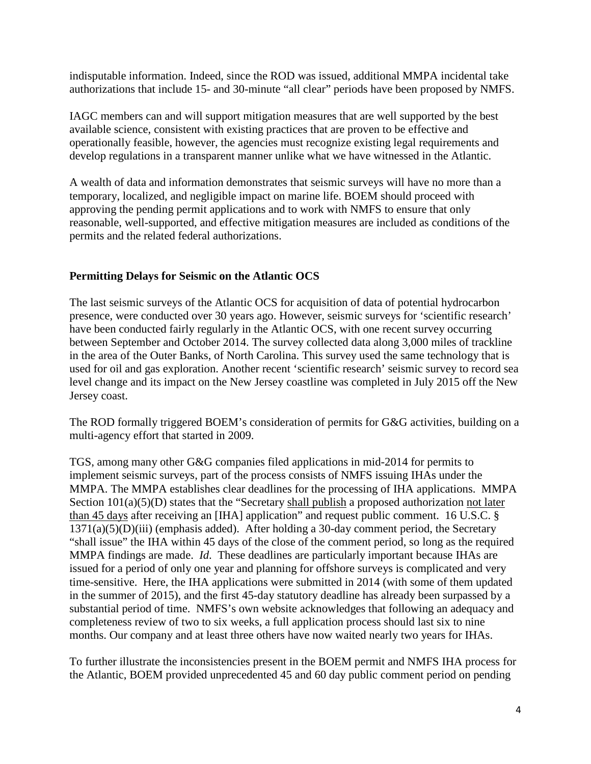indisputable information. Indeed, since the ROD was issued, additional MMPA incidental take authorizations that include 15- and 30-minute "all clear" periods have been proposed by NMFS.

IAGC members can and will support mitigation measures that are well supported by the best available science, consistent with existing practices that are proven to be effective and operationally feasible, however, the agencies must recognize existing legal requirements and develop regulations in a transparent manner unlike what we have witnessed in the Atlantic.

A wealth of data and information demonstrates that seismic surveys will have no more than a temporary, localized, and negligible impact on marine life. BOEM should proceed with approving the pending permit applications and to work with NMFS to ensure that only reasonable, well-supported, and effective mitigation measures are included as conditions of the permits and the related federal authorizations.

# **Permitting Delays for Seismic on the Atlantic OCS**

The last seismic surveys of the Atlantic OCS for acquisition of data of potential hydrocarbon presence, were conducted over 30 years ago. However, seismic surveys for 'scientific research' have been conducted fairly regularly in the Atlantic OCS, with one recent survey occurring between September and October 2014. The survey collected data along 3,000 miles of trackline in the area of the Outer Banks, of North Carolina. This survey used the same technology that is used for oil and gas exploration. Another recent 'scientific research' seismic survey to record sea level change and its impact on the New Jersey coastline was completed in July 2015 off the New Jersey coast.

The ROD formally triggered BOEM's consideration of permits for G&G activities, building on a multi-agency effort that started in 2009.

TGS, among many other G&G companies filed applications in mid-2014 for permits to implement seismic surveys, part of the process consists of NMFS issuing IHAs under the MMPA. The MMPA establishes clear deadlines for the processing of IHA applications. MMPA Section  $101(a)(5)(D)$  states that the "Secretary shall publish a proposed authorization not later than 45 days after receiving an [IHA] application" and request public comment. 16 U.S.C. §  $1371(a)(5)(D)(iii)$  (emphasis added). After holding a 30-day comment period, the Secretary "shall issue" the IHA within 45 days of the close of the comment period, so long as the required MMPA findings are made. *Id*. These deadlines are particularly important because IHAs are issued for a period of only one year and planning for offshore surveys is complicated and very time-sensitive. Here, the IHA applications were submitted in 2014 (with some of them updated in the summer of 2015), and the first 45-day statutory deadline has already been surpassed by a substantial period of time. NMFS's own website acknowledges that following an adequacy and completeness review of two to six weeks, a full application process should last six to nine months. Our company and at least three others have now waited nearly two years for IHAs.

To further illustrate the inconsistencies present in the BOEM permit and NMFS IHA process for the Atlantic, BOEM provided unprecedented 45 and 60 day public comment period on pending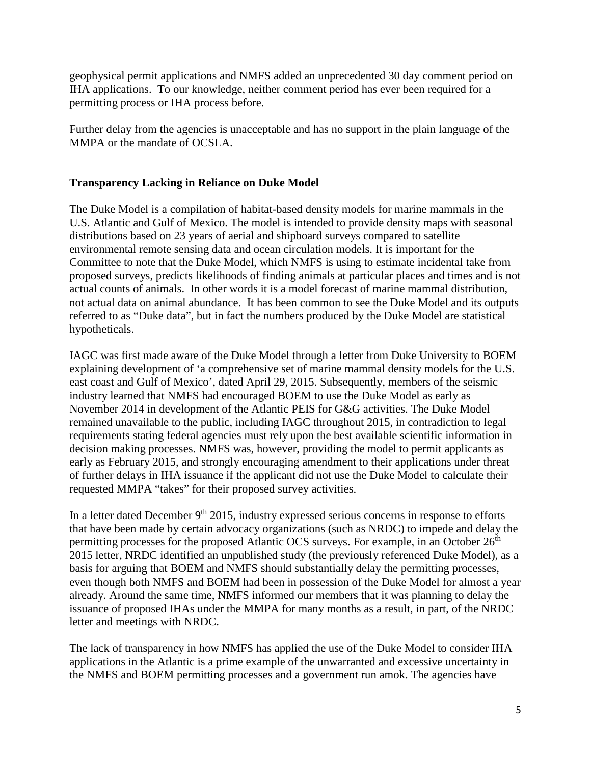geophysical permit applications and NMFS added an unprecedented 30 day comment period on IHA applications. To our knowledge, neither comment period has ever been required for a permitting process or IHA process before.

Further delay from the agencies is unacceptable and has no support in the plain language of the MMPA or the mandate of OCSLA.

# **Transparency Lacking in Reliance on Duke Model**

The Duke Model is a compilation of habitat-based density models for marine mammals in the U.S. Atlantic and Gulf of Mexico. The model is intended to provide density maps with seasonal distributions based on 23 years of aerial and shipboard surveys compared to satellite environmental remote sensing data and ocean circulation models. It is important for the Committee to note that the Duke Model, which NMFS is using to estimate incidental take from proposed surveys, predicts likelihoods of finding animals at particular places and times and is not actual counts of animals. In other words it is a model forecast of marine mammal distribution, not actual data on animal abundance. It has been common to see the Duke Model and its outputs referred to as "Duke data", but in fact the numbers produced by the Duke Model are statistical hypotheticals.

IAGC was first made aware of the Duke Model through a letter from Duke University to BOEM explaining development of 'a comprehensive set of marine mammal density models for the U.S. east coast and Gulf of Mexico', dated April 29, 2015. Subsequently, members of the seismic industry learned that NMFS had encouraged BOEM to use the Duke Model as early as November 2014 in development of the Atlantic PEIS for G&G activities. The Duke Model remained unavailable to the public, including IAGC throughout 2015, in contradiction to legal requirements stating federal agencies must rely upon the best available scientific information in decision making processes. NMFS was, however, providing the model to permit applicants as early as February 2015, and strongly encouraging amendment to their applications under threat of further delays in IHA issuance if the applicant did not use the Duke Model to calculate their requested MMPA "takes" for their proposed survey activities.

In a letter dated December  $9<sup>th</sup> 2015$ , industry expressed serious concerns in response to efforts that have been made by certain advocacy organizations (such as NRDC) to impede and delay the permitting processes for the proposed Atlantic OCS surveys. For example, in an October 26<sup>th</sup> 2015 letter, NRDC identified an unpublished study (the previously referenced Duke Model), as a basis for arguing that BOEM and NMFS should substantially delay the permitting processes, even though both NMFS and BOEM had been in possession of the Duke Model for almost a year already. Around the same time, NMFS informed our members that it was planning to delay the issuance of proposed IHAs under the MMPA for many months as a result, in part, of the NRDC letter and meetings with NRDC.

The lack of transparency in how NMFS has applied the use of the Duke Model to consider IHA applications in the Atlantic is a prime example of the unwarranted and excessive uncertainty in the NMFS and BOEM permitting processes and a government run amok. The agencies have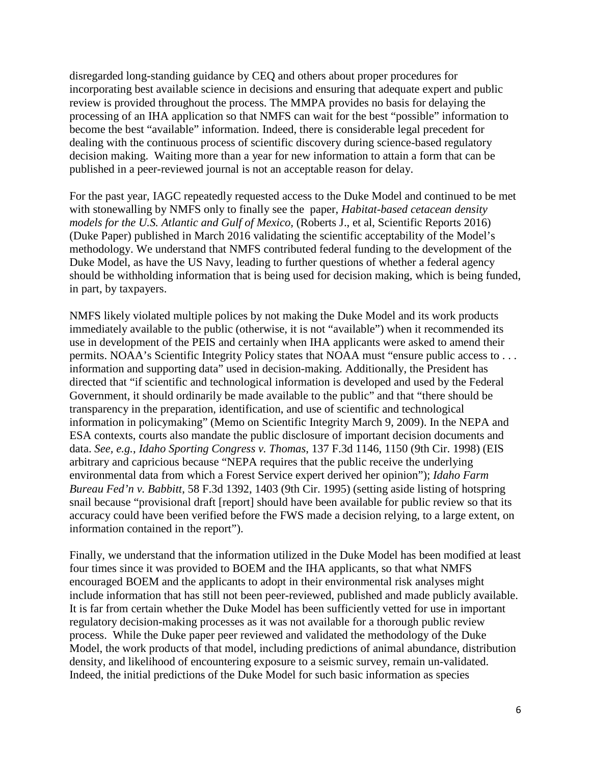disregarded long-standing guidance by CEQ and others about proper procedures for incorporating best available science in decisions and ensuring that adequate expert and public review is provided throughout the process. The MMPA provides no basis for delaying the processing of an IHA application so that NMFS can wait for the best "possible" information to become the best "available" information. Indeed, there is considerable legal precedent for dealing with the continuous process of scientific discovery during science-based regulatory decision making. Waiting more than a year for new information to attain a form that can be published in a peer-reviewed journal is not an acceptable reason for delay.

For the past year, IAGC repeatedly requested access to the Duke Model and continued to be met with stonewalling by NMFS only to finally see the paper, *Habitat-based cetacean density models for the U.S. Atlantic and Gulf of Mexico,* (Roberts J., et al, Scientific Reports 2016) (Duke Paper) published in March 2016 validating the scientific acceptability of the Model's methodology. We understand that NMFS contributed federal funding to the development of the Duke Model, as have the US Navy, leading to further questions of whether a federal agency should be withholding information that is being used for decision making, which is being funded, in part, by taxpayers.

NMFS likely violated multiple polices by not making the Duke Model and its work products immediately available to the public (otherwise, it is not "available") when it recommended its use in development of the PEIS and certainly when IHA applicants were asked to amend their permits. NOAA's Scientific Integrity Policy states that NOAA must "ensure public access to . . . information and supporting data" used in decision-making. Additionally, the President has directed that "if scientific and technological information is developed and used by the Federal Government, it should ordinarily be made available to the public" and that "there should be transparency in the preparation, identification, and use of scientific and technological information in policymaking" (Memo on Scientific Integrity March 9, 2009). In the NEPA and ESA contexts, courts also mandate the public disclosure of important decision documents and data. *See, e.g.*, *Idaho Sporting Congress v. Thomas*, 137 F.3d 1146, 1150 (9th Cir. 1998) (EIS arbitrary and capricious because "NEPA requires that the public receive the underlying environmental data from which a Forest Service expert derived her opinion"); *Idaho Farm Bureau Fed'n v. Babbitt*, 58 F.3d 1392, 1403 (9th Cir. 1995) (setting aside listing of hotspring snail because "provisional draft [report] should have been available for public review so that its accuracy could have been verified before the FWS made a decision relying, to a large extent, on information contained in the report").

Finally, we understand that the information utilized in the Duke Model has been modified at least four times since it was provided to BOEM and the IHA applicants, so that what NMFS encouraged BOEM and the applicants to adopt in their environmental risk analyses might include information that has still not been peer-reviewed, published and made publicly available. It is far from certain whether the Duke Model has been sufficiently vetted for use in important regulatory decision-making processes as it was not available for a thorough public review process. While the Duke paper peer reviewed and validated the methodology of the Duke Model, the work products of that model, including predictions of animal abundance, distribution density, and likelihood of encountering exposure to a seismic survey, remain un-validated. Indeed, the initial predictions of the Duke Model for such basic information as species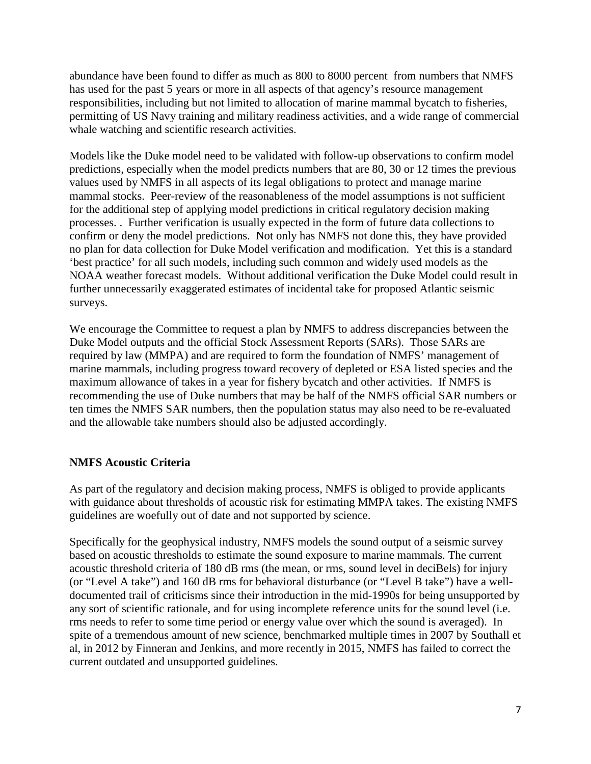abundance have been found to differ as much as 800 to 8000 percent from numbers that NMFS has used for the past 5 years or more in all aspects of that agency's resource management responsibilities, including but not limited to allocation of marine mammal bycatch to fisheries, permitting of US Navy training and military readiness activities, and a wide range of commercial whale watching and scientific research activities.

Models like the Duke model need to be validated with follow-up observations to confirm model predictions, especially when the model predicts numbers that are 80, 30 or 12 times the previous values used by NMFS in all aspects of its legal obligations to protect and manage marine mammal stocks. Peer-review of the reasonableness of the model assumptions is not sufficient for the additional step of applying model predictions in critical regulatory decision making processes. . Further verification is usually expected in the form of future data collections to confirm or deny the model predictions. Not only has NMFS not done this, they have provided no plan for data collection for Duke Model verification and modification. Yet this is a standard 'best practice' for all such models, including such common and widely used models as the NOAA weather forecast models. Without additional verification the Duke Model could result in further unnecessarily exaggerated estimates of incidental take for proposed Atlantic seismic surveys.

We encourage the Committee to request a plan by NMFS to address discrepancies between the Duke Model outputs and the official Stock Assessment Reports (SARs). Those SARs are required by law (MMPA) and are required to form the foundation of NMFS' management of marine mammals, including progress toward recovery of depleted or ESA listed species and the maximum allowance of takes in a year for fishery bycatch and other activities. If NMFS is recommending the use of Duke numbers that may be half of the NMFS official SAR numbers or ten times the NMFS SAR numbers, then the population status may also need to be re-evaluated and the allowable take numbers should also be adjusted accordingly.

# **NMFS Acoustic Criteria**

As part of the regulatory and decision making process, NMFS is obliged to provide applicants with guidance about thresholds of acoustic risk for estimating MMPA takes. The existing NMFS guidelines are woefully out of date and not supported by science.

Specifically for the geophysical industry, NMFS models the sound output of a seismic survey based on acoustic thresholds to estimate the sound exposure to marine mammals. The current acoustic threshold criteria of 180 dB rms (the mean, or rms, sound level in deciBels) for injury (or "Level A take") and 160 dB rms for behavioral disturbance (or "Level B take") have a welldocumented trail of criticisms since their introduction in the mid-1990s for being unsupported by any sort of scientific rationale, and for using incomplete reference units for the sound level (i.e. rms needs to refer to some time period or energy value over which the sound is averaged). In spite of a tremendous amount of new science, benchmarked multiple times in 2007 by Southall et al, in 2012 by Finneran and Jenkins, and more recently in 2015, NMFS has failed to correct the current outdated and unsupported guidelines.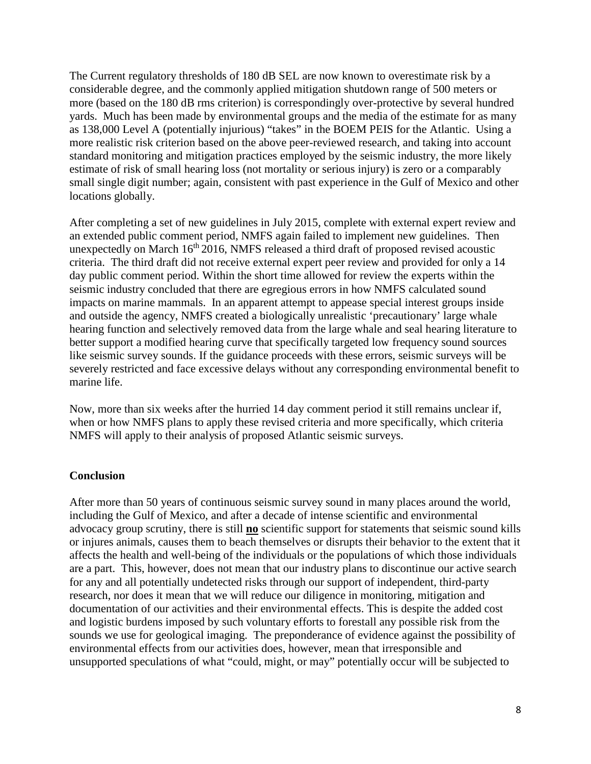The Current regulatory thresholds of 180 dB SEL are now known to overestimate risk by a considerable degree, and the commonly applied mitigation shutdown range of 500 meters or more (based on the 180 dB rms criterion) is correspondingly over-protective by several hundred yards. Much has been made by environmental groups and the media of the estimate for as many as 138,000 Level A (potentially injurious) "takes" in the BOEM PEIS for the Atlantic. Using a more realistic risk criterion based on the above peer-reviewed research, and taking into account standard monitoring and mitigation practices employed by the seismic industry, the more likely estimate of risk of small hearing loss (not mortality or serious injury) is zero or a comparably small single digit number; again, consistent with past experience in the Gulf of Mexico and other locations globally.

After completing a set of new guidelines in July 2015, complete with external expert review and an extended public comment period, NMFS again failed to implement new guidelines. Then unexpectedly on March  $16<sup>th</sup> 2016$ , NMFS released a third draft of proposed revised acoustic criteria. The third draft did not receive external expert peer review and provided for only a 14 day public comment period. Within the short time allowed for review the experts within the seismic industry concluded that there are egregious errors in how NMFS calculated sound impacts on marine mammals. In an apparent attempt to appease special interest groups inside and outside the agency, NMFS created a biologically unrealistic 'precautionary' large whale hearing function and selectively removed data from the large whale and seal hearing literature to better support a modified hearing curve that specifically targeted low frequency sound sources like seismic survey sounds. If the guidance proceeds with these errors, seismic surveys will be severely restricted and face excessive delays without any corresponding environmental benefit to marine life.

Now, more than six weeks after the hurried 14 day comment period it still remains unclear if, when or how NMFS plans to apply these revised criteria and more specifically, which criteria NMFS will apply to their analysis of proposed Atlantic seismic surveys.

#### **Conclusion**

After more than 50 years of continuous seismic survey sound in many places around the world, including the Gulf of Mexico, and after a decade of intense scientific and environmental advocacy group scrutiny, there is still **no** scientific support for statements that seismic sound kills or injures animals, causes them to beach themselves or disrupts their behavior to the extent that it affects the health and well-being of the individuals or the populations of which those individuals are a part. This, however, does not mean that our industry plans to discontinue our active search for any and all potentially undetected risks through our support of independent, third-party research, nor does it mean that we will reduce our diligence in monitoring, mitigation and documentation of our activities and their environmental effects. This is despite the added cost and logistic burdens imposed by such voluntary efforts to forestall any possible risk from the sounds we use for geological imaging. The preponderance of evidence against the possibility of environmental effects from our activities does, however, mean that irresponsible and unsupported speculations of what "could, might, or may" potentially occur will be subjected to